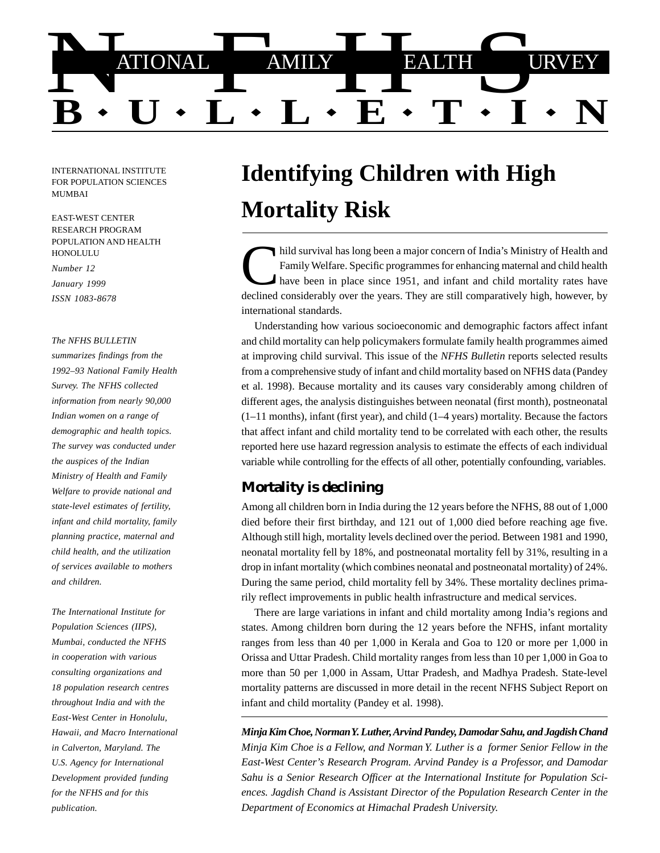

INTERNATIONAL INSTITUTE FOR POPULATION SCIENCES MUMBAI

EAST-WEST CENTER RESEARCH PROGRAM POPULATION AND HEALTH HONOLULU

*Number 12 January 1999 ISSN 1083-8678*

#### *The NFHS BULLETIN*

*summarizes findings from the 1992–93 National Family Health Survey. The NFHS collected information from nearly 90,000 Indian women on a range of demographic and health topics. The survey was conducted under the auspices of the Indian Ministry of Health and Family Welfare to provide national and state-level estimates of fertility, infant and child mortality, family planning practice, maternal and child health, and the utilization of services available to mothers and children.*

*The International Institute for Population Sciences (IIPS), Mumbai, conducted the NFHS in cooperation with various consulting organizations and 18 population research centres throughout India and with the East-West Center in Honolulu, Hawaii, and Macro International in Calverton, Maryland. The U.S. Agency for International Development provided funding for the NFHS and for this publication.*

# **Identifying Children with High Mortality Risk**

hild survival has long been a major concern of India's Ministry of Health and<br>Family Welfare. Specific programmes for enhancing maternal and child health<br>have been in place since 1951, and infant and child mortality rates declined considerably over the years. They are still comparatively high, however, by international standards.

Understanding how various socioeconomic and demographic factors affect infant and child mortality can help policymakers formulate family health programmes aimed at improving child survival. This issue of the *NFHS Bulletin* reports selected results from a comprehensive study of infant and child mortality based on NFHS data (Pandey et al. 1998). Because mortality and its causes vary considerably among children of different ages, the analysis distinguishes between neonatal (first month), postneonatal  $(1-11$  months), infant (first year), and child  $(1-4$  years) mortality. Because the factors that affect infant and child mortality tend to be correlated with each other, the results reported here use hazard regression analysis to estimate the effects of each individual variable while controlling for the effects of all other, potentially confounding, variables.

## **Mortality is declining**

Among all children born in India during the 12 years before the NFHS, 88 out of 1,000 died before their first birthday, and 121 out of 1,000 died before reaching age five. Although still high, mortality levels declined over the period. Between 1981 and 1990, neonatal mortality fell by 18%, and postneonatal mortality fell by 31%, resulting in a drop in infant mortality (which combines neonatal and postneonatal mortality) of 24%. During the same period, child mortality fell by 34%. These mortality declines primarily reflect improvements in public health infrastructure and medical services.

There are large variations in infant and child mortality among India's regions and states. Among children born during the 12 years before the NFHS, infant mortality ranges from less than 40 per 1,000 in Kerala and Goa to 120 or more per 1,000 in Orissa and Uttar Pradesh. Child mortality ranges from less than 10 per 1,000 in Goa to more than 50 per 1,000 in Assam, Uttar Pradesh, and Madhya Pradesh. State-level mortality patterns are discussed in more detail in the recent NFHS Subject Report on infant and child mortality (Pandey et al. 1998).

*Minja Kim Choe, Norman Y. Luther, Arvind Pandey, Damodar Sahu, and Jagdish Chand Minja Kim Choe is a Fellow, and Norman Y. Luther is a former Senior Fellow in the East-West Center's Research Program. Arvind Pandey is a Professor, and Damodar Sahu is a Senior Research Officer at the International Institute for Population Sciences. Jagdish Chand is Assistant Director of the Population Research Center in the Department of Economics at Himachal Pradesh University.*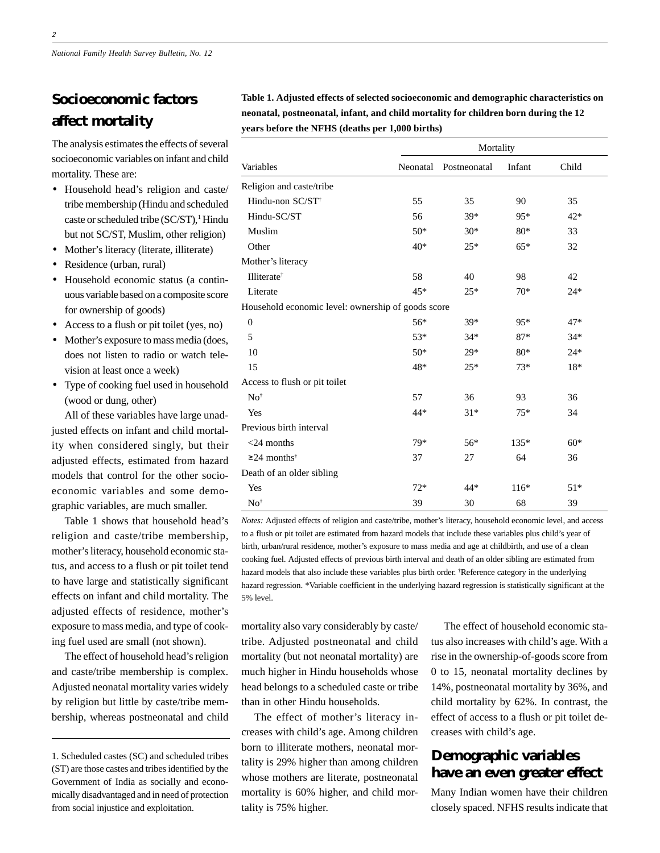## **Socioeconomic factors affect mortality**

The analysis estimates the effects of several socioeconomic variables on infant and child mortality. These are:

- Household head's religion and caste/ tribe membership (Hindu and scheduled caste or scheduled tribe (SC/ST),<sup>1</sup> Hindu but not SC/ST, Muslim, other religion)
- Mother's literacy (literate, illiterate)
- Residence (urban, rural)
- Household economic status (a continuous variable based on a composite score for ownership of goods)
- Access to a flush or pit toilet (yes, no)
- Mother's exposure to mass media (does, does not listen to radio or watch television at least once a week)
- Type of cooking fuel used in household (wood or dung, other)

All of these variables have large unadjusted effects on infant and child mortality when considered singly, but their adjusted effects, estimated from hazard models that control for the other socioeconomic variables and some demographic variables, are much smaller.

Table 1 shows that household head's religion and caste/tribe membership, mother's literacy, household economic status, and access to a flush or pit toilet tend to have large and statistically significant effects on infant and child mortality. The adjusted effects of residence, mother's exposure to mass media, and type of cooking fuel used are small (not shown).

The effect of household head's religion and caste/tribe membership is complex. Adjusted neonatal mortality varies widely by religion but little by caste/tribe membership, whereas postneonatal and child

**Table 1. Adjusted effects of selected socioeconomic and demographic characteristics on neonatal, postneonatal, infant, and child mortality for children born during the 12 years before the NFHS (deaths per 1,000 births)**

| Variables                                          |          | Mortality    |        |       |  |
|----------------------------------------------------|----------|--------------|--------|-------|--|
|                                                    | Neonatal | Postneonatal | Infant | Child |  |
| Religion and caste/tribe                           |          |              |        |       |  |
| Hindu-non SC/ST <sup>†</sup>                       | 55       | 35           | 90     | 35    |  |
| Hindu-SC/ST                                        | 56       | 39*          | 95*    | $42*$ |  |
| Muslim                                             | $50*$    | $30*$        | 80*    | 33    |  |
| Other                                              | $40*$    | $25*$        | $65*$  | 32    |  |
| Mother's literacy                                  |          |              |        |       |  |
| Illiterate <sup>†</sup>                            | 58       | 40           | 98     | 42    |  |
| Literate                                           | 45*      | $25*$        | $70*$  | $24*$ |  |
| Household economic level: ownership of goods score |          |              |        |       |  |
| $\mathbf{0}$                                       | 56*      | 39*          | 95*    | 47*   |  |
| 5                                                  | 53*      | $34*$        | $87*$  | $34*$ |  |
| 10                                                 | $50*$    | 29*          | $80*$  | $24*$ |  |
| 15                                                 | 48*      | $25*$        | $73*$  | 18*   |  |
| Access to flush or pit toilet                      |          |              |        |       |  |
| $No^{\dagger}$                                     | 57       | 36           | 93     | 36    |  |
| Yes                                                | 44*      | $31*$        | $75*$  | 34    |  |
| Previous birth interval                            |          |              |        |       |  |
| $<$ 24 months                                      | 79*      | 56*          | $135*$ | $60*$ |  |
| $\geq$ 24 months <sup>†</sup>                      | 37       | 27           | 64     | 36    |  |
| Death of an older sibling                          |          |              |        |       |  |
| Yes                                                | $72*$    | $44*$        | $116*$ | $51*$ |  |
| $No^{\dagger}$                                     | 39       | 30           | 68     | 39    |  |

*Notes:* Adjusted effects of religion and caste/tribe, mother's literacy, household economic level, and access to a flush or pit toilet are estimated from hazard models that include these variables plus child's year of birth, urban/rural residence, mother's exposure to mass media and age at childbirth, and use of a clean cooking fuel. Adjusted effects of previous birth interval and death of an older sibling are estimated from hazard models that also include these variables plus birth order. † Reference category in the underlying hazard regression. \*Variable coefficient in the underlying hazard regression is statistically significant at the 5% level.

mortality also vary considerably by caste/ tribe. Adjusted postneonatal and child mortality (but not neonatal mortality) are much higher in Hindu households whose head belongs to a scheduled caste or tribe than in other Hindu households.

The effect of mother's literacy increases with child's age. Among children born to illiterate mothers, neonatal mortality is 29% higher than among children whose mothers are literate, postneonatal mortality is 60% higher, and child mortality is 75% higher.

The effect of household economic status also increases with child's age. With a rise in the ownership-of-goods score from 0 to 15, neonatal mortality declines by 14%, postneonatal mortality by 36%, and child mortality by 62%. In contrast, the effect of access to a flush or pit toilet decreases with child's age.

## **Demographic variables have an even greater effect**

Many Indian women have their children closely spaced. NFHS results indicate that

<sup>1.</sup> Scheduled castes (SC) and scheduled tribes (ST) are those castes and tribes identified by the Government of India as socially and economically disadvantaged and in need of protection from social injustice and exploitation.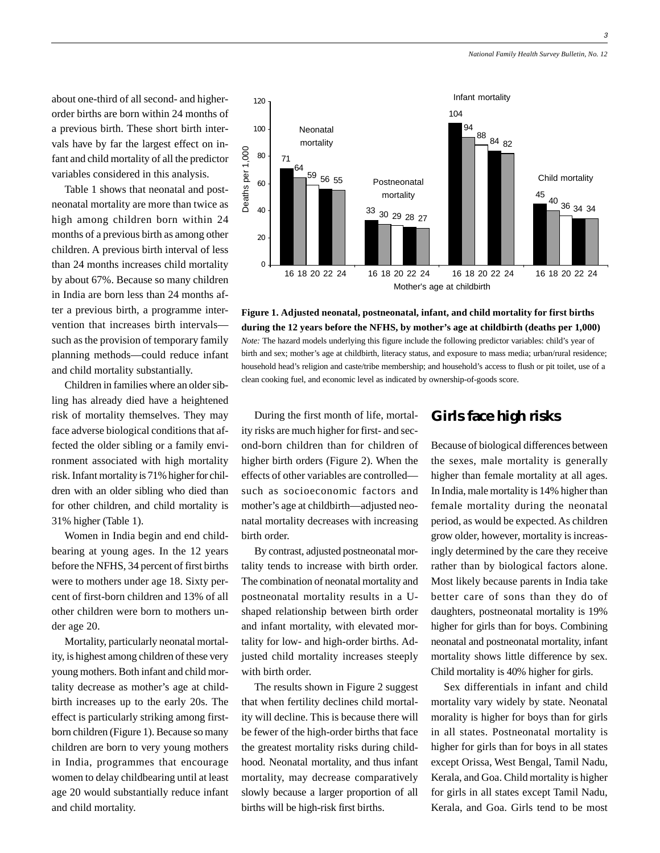3

about one-third of all second- and higherorder births are born within 24 months of a previous birth. These short birth intervals have by far the largest effect on infant and child mortality of all the predictor variables considered in this analysis.

Table 1 shows that neonatal and postneonatal mortality are more than twice as high among children born within 24 months of a previous birth as among other children. A previous birth interval of less than 24 months increases child mortality by about 67%. Because so many children in India are born less than 24 months after a previous birth, a programme intervention that increases birth intervals such as the provision of temporary family planning methods—could reduce infant and child mortality substantially.

Children in families where an older sibling has already died have a heightened risk of mortality themselves. They may face adverse biological conditions that affected the older sibling or a family environment associated with high mortality risk. Infant mortality is 71% higher for children with an older sibling who died than for other children, and child mortality is 31% higher (Table 1).

Women in India begin and end childbearing at young ages. In the 12 years before the NFHS, 34 percent of first births were to mothers under age 18. Sixty percent of first-born children and 13% of all other children were born to mothers under age 20.

Mortality, particularly neonatal mortality, is highest among children of these very young mothers. Both infant and child mortality decrease as mother's age at childbirth increases up to the early 20s. The effect is particularly striking among firstborn children (Figure 1). Because so many children are born to very young mothers in India, programmes that encourage women to delay childbearing until at least age 20 would substantially reduce infant and child mortality.

During the first month of life, mortality risks are much higher for first- and second-born children than for children of higher birth orders (Figure 2). When the effects of other variables are controlled such as socioeconomic factors and mother's age at childbirth—adjusted neonatal mortality decreases with increasing birth order.

By contrast, adjusted postneonatal mortality tends to increase with birth order. The combination of neonatal mortality and postneonatal mortality results in a Ushaped relationship between birth order and infant mortality, with elevated mortality for low- and high-order births. Adjusted child mortality increases steeply with birth order.

The results shown in Figure 2 suggest that when fertility declines child mortality will decline. This is because there will be fewer of the high-order births that face the greatest mortality risks during childhood. Neonatal mortality, and thus infant mortality, may decrease comparatively slowly because a larger proportion of all births will be high-risk first births.



Because of biological differences between the sexes, male mortality is generally higher than female mortality at all ages. In India, male mortality is 14% higher than female mortality during the neonatal period, as would be expected. As children grow older, however, mortality is increasingly determined by the care they receive rather than by biological factors alone. Most likely because parents in India take better care of sons than they do of daughters, postneonatal mortality is 19% higher for girls than for boys. Combining neonatal and postneonatal mortality, infant mortality shows little difference by sex. Child mortality is 40% higher for girls.

Sex differentials in infant and child mortality vary widely by state. Neonatal morality is higher for boys than for girls in all states. Postneonatal mortality is higher for girls than for boys in all states except Orissa, West Bengal, Tamil Nadu, Kerala, and Goa. Child mortality is higher for girls in all states except Tamil Nadu, Kerala, and Goa. Girls tend to be most



**Figure 1. Adjusted neonatal, postneonatal, infant, and child mortality for first births during the 12 years before the NFHS, by mother's age at childbirth (deaths per 1,000)** *Note:* The hazard models underlying this figure include the following predictor variables: child's year of birth and sex; mother's age at childbirth, literacy status, and exposure to mass media; urban/rural residence; household head's religion and caste/tribe membership; and household's access to flush or pit toilet, use of a clean cooking fuel, and economic level as indicated by ownership-of-goods score.